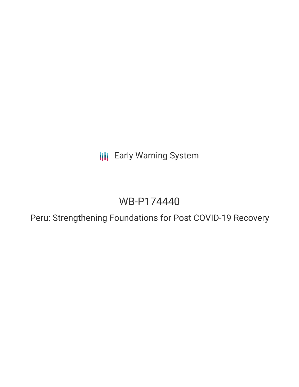**III** Early Warning System

# WB-P174440

Peru: Strengthening Foundations for Post COVID-19 Recovery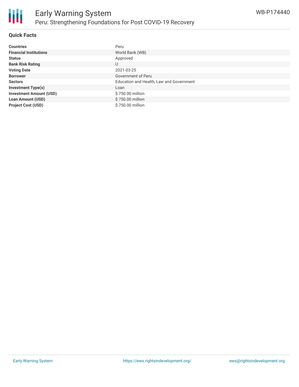

#### **Quick Facts**

| <b>Countries</b>               | Peru                                     |
|--------------------------------|------------------------------------------|
| <b>Financial Institutions</b>  | World Bank (WB)                          |
| <b>Status</b>                  | Approved                                 |
| <b>Bank Risk Rating</b>        | U                                        |
| <b>Voting Date</b>             | 2021-03-25                               |
| <b>Borrower</b>                | Government of Peru                       |
| <b>Sectors</b>                 | Education and Health, Law and Government |
| <b>Investment Type(s)</b>      | Loan                                     |
| <b>Investment Amount (USD)</b> | \$750.00 million                         |
| <b>Loan Amount (USD)</b>       | \$750.00 million                         |
| <b>Project Cost (USD)</b>      | \$750.00 million                         |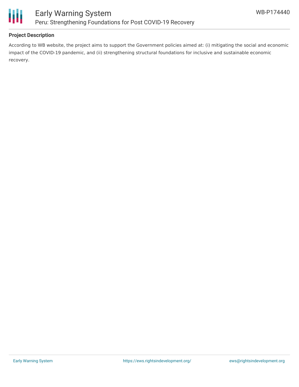

## **Project Description**

According to WB website, the project aims to support the Government policies aimed at: (i) mitigating the social and economic impact of the COVID-19 pandemic, and (ii) strengthening structural foundations for inclusive and sustainable economic recovery.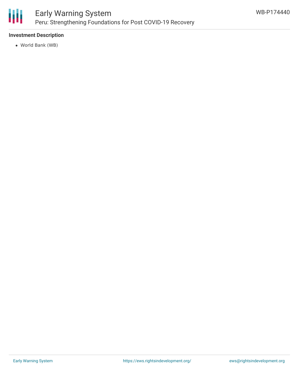

# Early Warning System Peru: Strengthening Foundations for Post COVID-19 Recovery

### **Investment Description**

World Bank (WB)